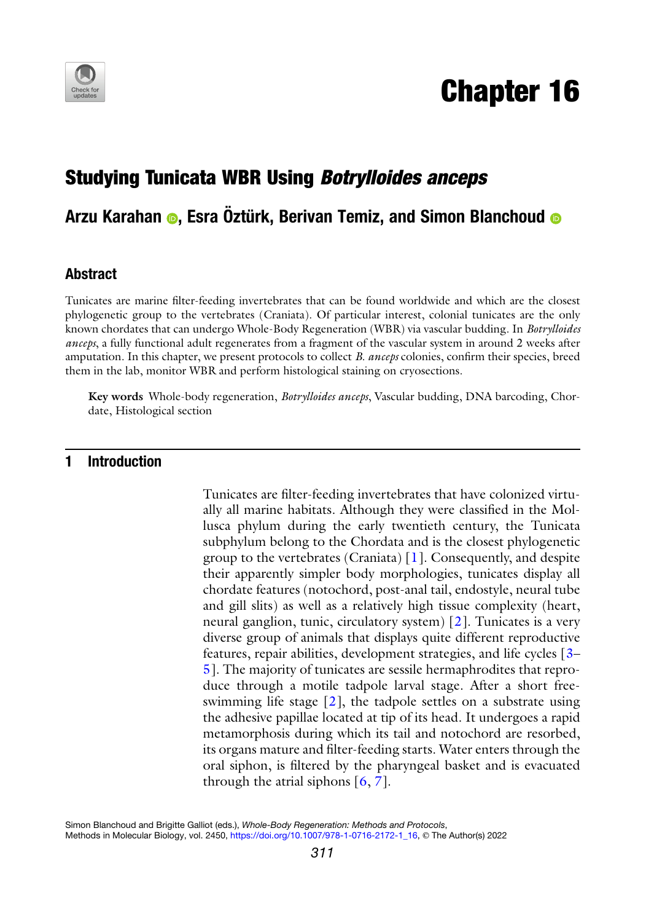

# Chapter 16

# Studying Tunicata WBR Using Botrylloides anceps

## Arzu Karahan  $\odot$ , Esra Öztürk, Berivan Temiz, and Simon Blanchoud  $\odot$

#### Abstract

Tunicates are marine filter-feeding invertebrates that can be found worldwide and which are the closest phylogenetic group to the vertebrates (Craniata). Of particular interest, colonial tunicates are the only known chordates that can undergo Whole-Body Regeneration (WBR) via vascular budding. In Botrylloides anceps, a fully functional adult regenerates from a fragment of the vascular system in around 2 weeks after amputation. In this chapter, we present protocols to collect B. anceps colonies, confirm their species, breed them in the lab, monitor WBR and perform histological staining on cryosections.

Key words Whole-body regeneration, Botrylloides anceps, Vascular budding, DNA barcoding, Chordate, Histological section

### 1 Introduction

Tunicates are filter-feeding invertebrates that have colonized virtually all marine habitats. Although they were classified in the Mollusca phylum during the early twentieth century, the Tunicata subphylum belong to the Chordata and is the closest phylogenetic group to the vertebrates (Craniata) [\[1\]](#page-19-0). Consequently, and despite their apparently simpler body morphologies, tunicates display all chordate features (notochord, post-anal tail, endostyle, neural tube and gill slits) as well as a relatively high tissue complexity (heart, neural ganglion, tunic, circulatory system) [\[2](#page-19-1)]. Tunicates is a very diverse group of animals that displays quite different reproductive features, repair abilities, development strategies, and life cycles [\[3](#page-19-2)– [5\]](#page-19-0). The majority of tunicates are sessile hermaphrodites that reproduce through a motile tadpole larval stage. After a short freeswimming life stage  $[2]$ , the tadpole settles on a substrate using the adhesive papillae located at tip of its head. It undergoes a rapid metamorphosis during which its tail and notochord are resorbed, its organs mature and filter-feeding starts. Water enters through the oral siphon, is filtered by the pharyngeal basket and is evacuated through the atrial siphons  $[6, 7]$  $[6, 7]$  $[6, 7]$ .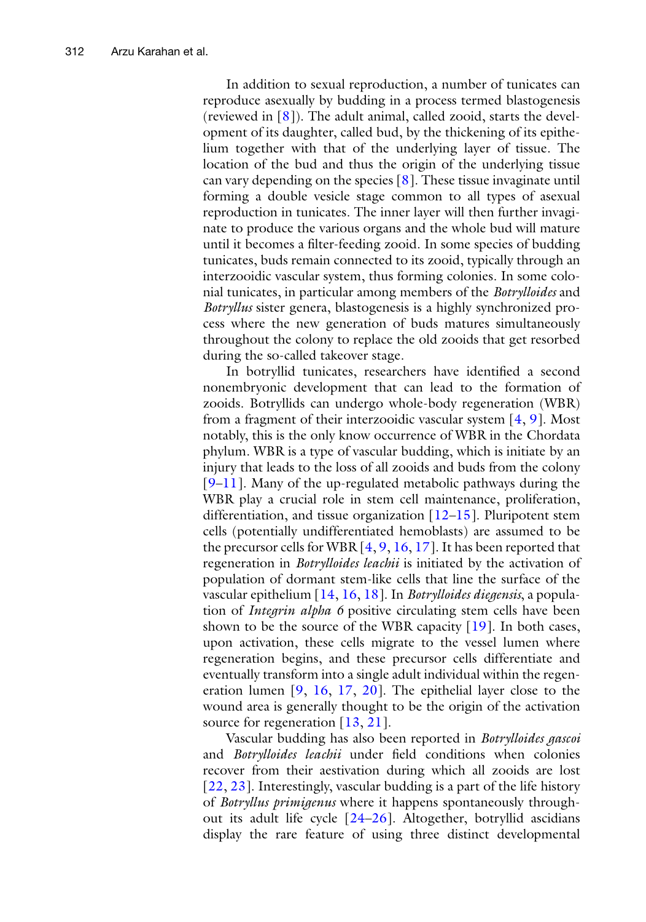In addition to sexual reproduction, a number of tunicates can reproduce asexually by budding in a process termed blastogenesis (reviewed in  $[8]$  $[8]$ ). The adult animal, called zooid, starts the development of its daughter, called bud, by the thickening of its epithelium together with that of the underlying layer of tissue. The location of the bud and thus the origin of the underlying tissue can vary depending on the species  $[8]$ . These tissue invaginate until forming a double vesicle stage common to all types of asexual reproduction in tunicates. The inner layer will then further invaginate to produce the various organs and the whole bud will mature until it becomes a filter-feeding zooid. In some species of budding tunicates, buds remain connected to its zooid, typically through an interzooidic vascular system, thus forming colonies. In some colonial tunicates, in particular among members of the Botrylloides and Botryllus sister genera, blastogenesis is a highly synchronized process where the new generation of buds matures simultaneously throughout the colony to replace the old zooids that get resorbed during the so-called takeover stage.

In botryllid tunicates, researchers have identified a second nonembryonic development that can lead to the formation of zooids. Botryllids can undergo whole-body regeneration (WBR) from a fragment of their interzooidic vascular system  $[4, 9]$  $[4, 9]$  $[4, 9]$  $[4, 9]$ . Most notably, this is the only know occurrence of WBR in the Chordata phylum. WBR is a type of vascular budding, which is initiate by an injury that leads to the loss of all zooids and buds from the colony [[9–](#page-20-0)[11\]](#page-20-1). Many of the up-regulated metabolic pathways during the WBR play a crucial role in stem cell maintenance, proliferation, differentiation, and tissue organization  $[12-15]$  $[12-15]$ . Pluripotent stem cells (potentially undifferentiated hemoblasts) are assumed to be the precursor cells for WBR  $[4, 9, 16, 17]$  $[4, 9, 16, 17]$  $[4, 9, 16, 17]$  $[4, 9, 16, 17]$  $[4, 9, 16, 17]$  $[4, 9, 16, 17]$  $[4, 9, 16, 17]$  $[4, 9, 16, 17]$ . It has been reported that regeneration in *Botrylloides leachii* is initiated by the activation of population of dormant stem-like cells that line the surface of the vascular epithelium  $[14, 16, 18]$  $[14, 16, 18]$  $[14, 16, 18]$  $[14, 16, 18]$  $[14, 16, 18]$  $[14, 16, 18]$ . In *Botrylloides diegensis*, a population of Integrin alpha 6 positive circulating stem cells have been shown to be the source of the WBR capacity [[19](#page-20-8)]. In both cases, upon activation, these cells migrate to the vessel lumen where regeneration begins, and these precursor cells differentiate and eventually transform into a single adult individual within the regeneration lumen [\[9](#page-20-0), [16](#page-20-4), [17,](#page-20-5) [20\]](#page-20-0). The epithelial layer close to the wound area is generally thought to be the origin of the activation source for regeneration [[13](#page-20-9), [21\]](#page-20-10).

Vascular budding has also been reported in Botrylloides gascoi and Botrylloides leachii under field conditions when colonies recover from their aestivation during which all zooids are lost [[22,](#page-20-11) [23](#page-20-12)]. Interestingly, vascular budding is a part of the life history of Botryllus primigenus where it happens spontaneously throughout its adult life cycle [[24](#page-20-9)–[26](#page-20-13)]. Altogether, botryllid ascidians display the rare feature of using three distinct developmental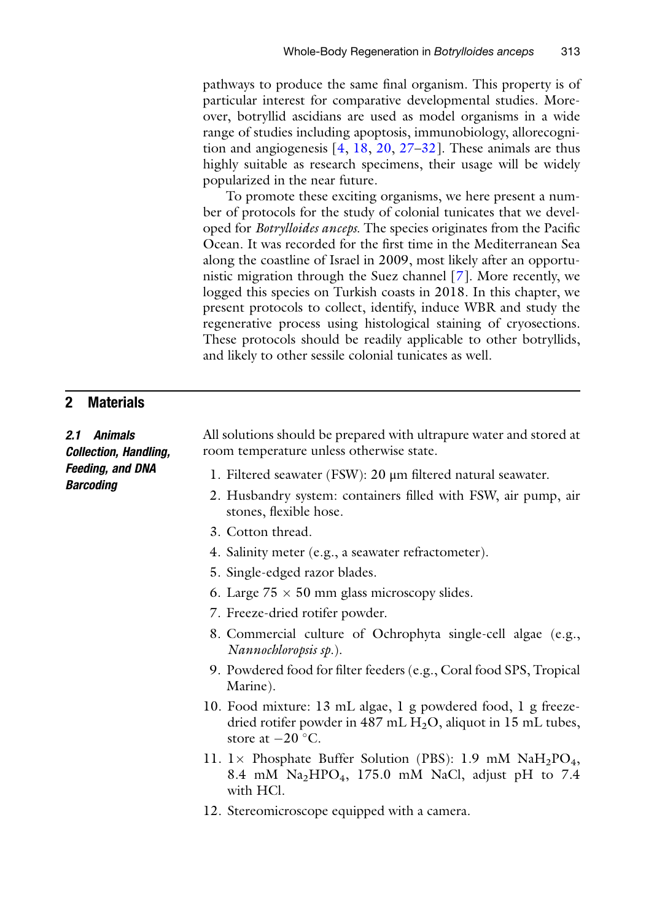pathways to produce the same final organism. This property is of particular interest for comparative developmental studies. Moreover, botryllid ascidians are used as model organisms in a wide range of studies including apoptosis, immunobiology, allorecognition and angiogenesis [[4,](#page-19-4) [18,](#page-20-7) [20,](#page-20-0) [27](#page-20-14)[–32\]](#page-21-0). These animals are thus highly suitable as research specimens, their usage will be widely popularized in the near future.

To promote these exciting organisms, we here present a number of protocols for the study of colonial tunicates that we developed for Botrylloides anceps. The species originates from the Pacific Ocean. It was recorded for the first time in the Mediterranean Sea along the coastline of Israel in 2009, most likely after an opportunistic migration through the Suez channel [[7](#page-19-2)]. More recently, we logged this species on Turkish coasts in 2018. In this chapter, we present protocols to collect, identify, induce WBR and study the regenerative process using histological staining of cryosections. These protocols should be readily applicable to other botryllids, and likely to other sessile colonial tunicates as well.

#### 2 Materials

2.1 Animals Collection, Handling, Feeding, and DNA **Barcoding** 

All solutions should be prepared with ultrapure water and stored at room temperature unless otherwise state.

- 1. Filtered seawater (FSW): 20 μm filtered natural seawater.
- 2. Husbandry system: containers filled with FSW, air pump, air stones, flexible hose.
- 3. Cotton thread.
- 4. Salinity meter (e.g., a seawater refractometer).
- 5. Single-edged razor blades.
- 6. Large  $75 \times 50$  mm glass microscopy slides.
- 7. Freeze-dried rotifer powder.
- 8. Commercial culture of Ochrophyta single-cell algae (e.g., Nannochloropsis sp.).
- 9. Powdered food for filter feeders (e.g., Coral food SPS, Tropical Marine).
- 10. Food mixture: 13 mL algae, 1 g powdered food, 1 g freezedried rotifer powder in 487 mL H<sub>2</sub>O, aliquot in 15 mL tubes, store at  $-20$  °C.
- 11. 1 $\times$  Phosphate Buffer Solution (PBS): 1.9 mM NaH<sub>2</sub>PO<sub>4</sub>, 8.4 mM Na2HPO4, 175.0 mM NaCl, adjust pH to 7.4 with HCl.
- 12. Stereomicroscope equipped with a camera.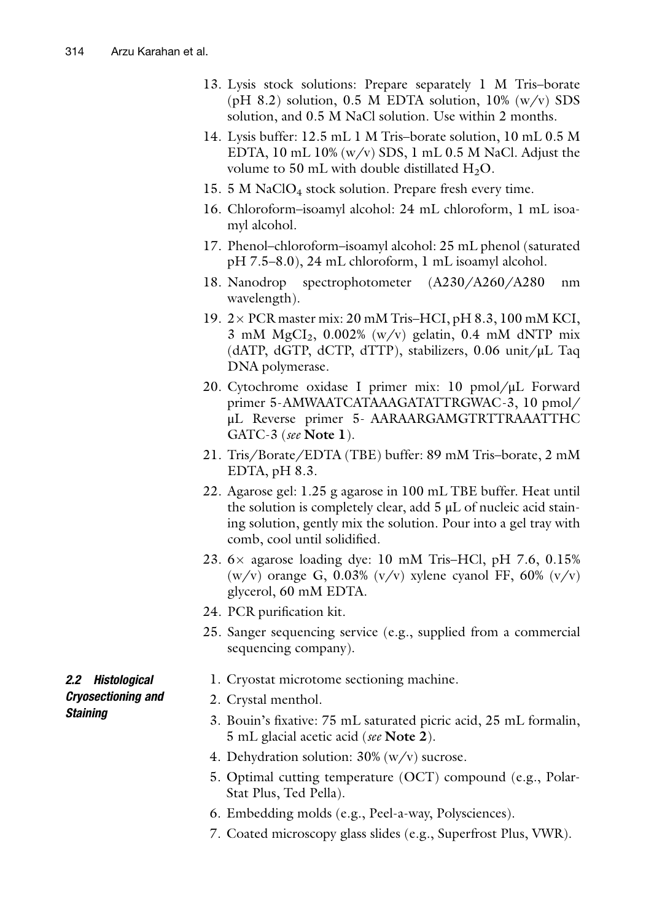- 13. Lysis stock solutions: Prepare separately 1 M Tris–borate (pH 8.2) solution,  $0.5$  M EDTA solution,  $10\%$  (w/v) SDS solution, and 0.5 M NaCl solution. Use within 2 months.
- 14. Lysis buffer: 12.5 mL 1 M Tris–borate solution, 10 mL 0.5 M EDTA, 10 mL 10% (w/v) SDS, 1 mL 0.5 M NaCl. Adjust the volume to 50 mL with double distillated  $H_2O$ .
- 15. 5 M NaClO4 stock solution. Prepare fresh every time.
- 16. Chloroform–isoamyl alcohol: 24 mL chloroform, 1 mL isoamyl alcohol.
- 17. Phenol–chloroform–isoamyl alcohol: 25 mL phenol (saturated pH 7.5–8.0), 24 mL chloroform, 1 mL isoamyl alcohol.
- 18. Nanodrop spectrophotometer (A230/A260/A280 nm wavelength).
- 19.  $2 \times$  PCR master mix: 20 mM Tris–HCI, pH 8.3, 100 mM KCI, 3 mM  $MgCl<sub>2</sub>$ , 0.002% (w/v) gelatin, 0.4 mM dNTP mix (dATP, dGTP, dCTP, dTTP), stabilizers, 0.06 unit/μL Taq DNA polymerase.
- 20. Cytochrome oxidase I primer mix: 10 pmol/μL Forward primer 5-AMWAATCATAAAGATATTRGWAC-3, 10 pmol/ μL Reverse primer 5- AARAARGAMGTRTTRAAATTHC GATC-3 (see Note 1).
- 21. Tris/Borate/EDTA (TBE) buffer: 89 mM Tris–borate, 2 mM EDTA, pH 8.3.
- 22. Agarose gel: 1.25 g agarose in 100 mL TBE buffer. Heat until the solution is completely clear, add 5 μL of nucleic acid staining solution, gently mix the solution. Pour into a gel tray with comb, cool until solidified.
- 23.  $6 \times$  agarose loading dye: 10 mM Tris–HCl, pH 7.6, 0.15% (w/v) orange G, 0.03% (v/v) xylene cyanol FF, 60% (v/v) glycerol, 60 mM EDTA.
- 24. PCR purification kit.
- 25. Sanger sequencing service (e.g., supplied from a commercial sequencing company).
	- 1. Cryostat microtome sectioning machine.
	- 2. Crystal menthol.
	- 3. Bouin's fixative: 75 mL saturated picric acid, 25 mL formalin, 5 mL glacial acetic acid (see Note 2).
	- 4. Dehydration solution: 30% (w/v) sucrose.
	- 5. Optimal cutting temperature (OCT) compound (e.g., Polar-Stat Plus, Ted Pella).
	- 6. Embedding molds (e.g., Peel-a-way, Polysciences).
	- 7. Coated microscopy glass slides (e.g., Superfrost Plus, VWR).

2.2 Histological Cryosectioning and **Staining**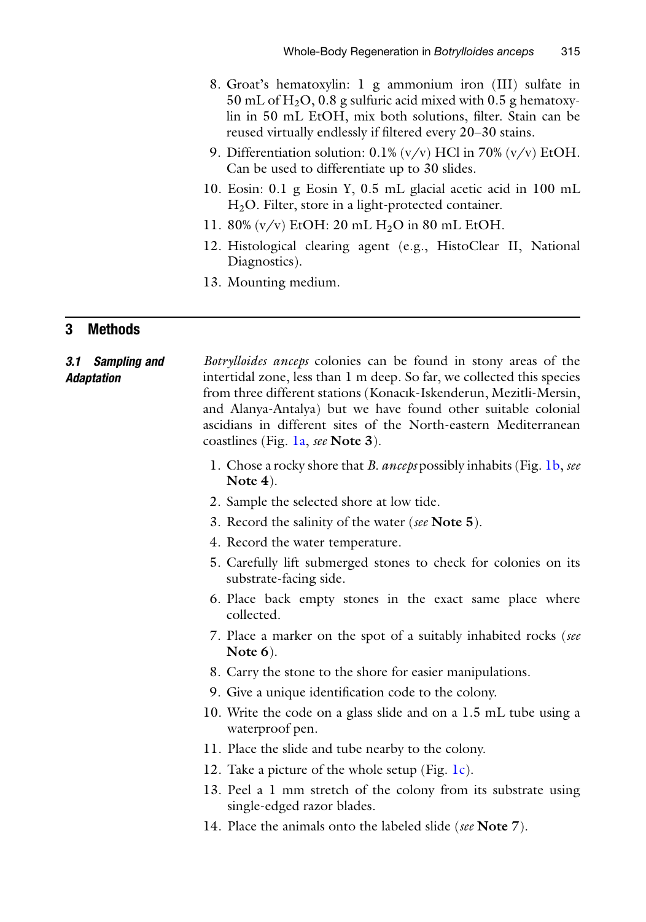- 8. Groat's hematoxylin: 1 g ammonium iron (III) sulfate in 50 mL of  $H_2O$ , 0.8 g sulfuric acid mixed with 0.5 g hematoxylin in 50 mL EtOH, mix both solutions, filter. Stain can be reused virtually endlessly if filtered every 20–30 stains.
- 9. Differentiation solution:  $0.1\%$  (v/v) HCl in 70% (v/v) EtOH. Can be used to differentiate up to 30 slides.
- 10. Eosin: 0.1 g Eosin Y, 0.5 mL glacial acetic acid in 100 mL  $H<sub>2</sub>O$ . Filter, store in a light-protected container.
- 11. 80%  $(v/v)$  EtOH: 20 mL H<sub>2</sub>O in 80 mL EtOH.
- 12. Histological clearing agent (e.g., HistoClear II, National Diagnostics).
- 13. Mounting medium.

#### 3 Methods

#### 3.1 Sampling and Adaptation Botrylloides anceps colonies can be found in stony areas of the intertidal zone, less than 1 m deep. So far, we collected this species from three different stations (Konacık-Iskenderun, Mezitli-Mersin, and Alanya-Antalya) but we have found other suitable colonial ascidians in different sites of the North-eastern Mediterranean coastlines (Fig. [1a,](#page-5-0) see Note 3).

- 1. Chose a rocky shore that *B. anceps* possibly inhabits (Fig. [1b,](#page-5-0) *see* Note 4).
- 2. Sample the selected shore at low tide.
- 3. Record the salinity of the water (see Note 5).
- 4. Record the water temperature.
- 5. Carefully lift submerged stones to check for colonies on its substrate-facing side.
- 6. Place back empty stones in the exact same place where collected.
- 7. Place a marker on the spot of a suitably inhabited rocks (see Note 6).
- 8. Carry the stone to the shore for easier manipulations.
- 9. Give a unique identification code to the colony.
- 10. Write the code on a glass slide and on a 1.5 mL tube using a waterproof pen.
- 11. Place the slide and tube nearby to the colony.
- 12. Take a picture of the whole setup (Fig.  $1c$ ).
- 13. Peel a 1 mm stretch of the colony from its substrate using single-edged razor blades.
- 14. Place the animals onto the labeled slide (see **Note** 7).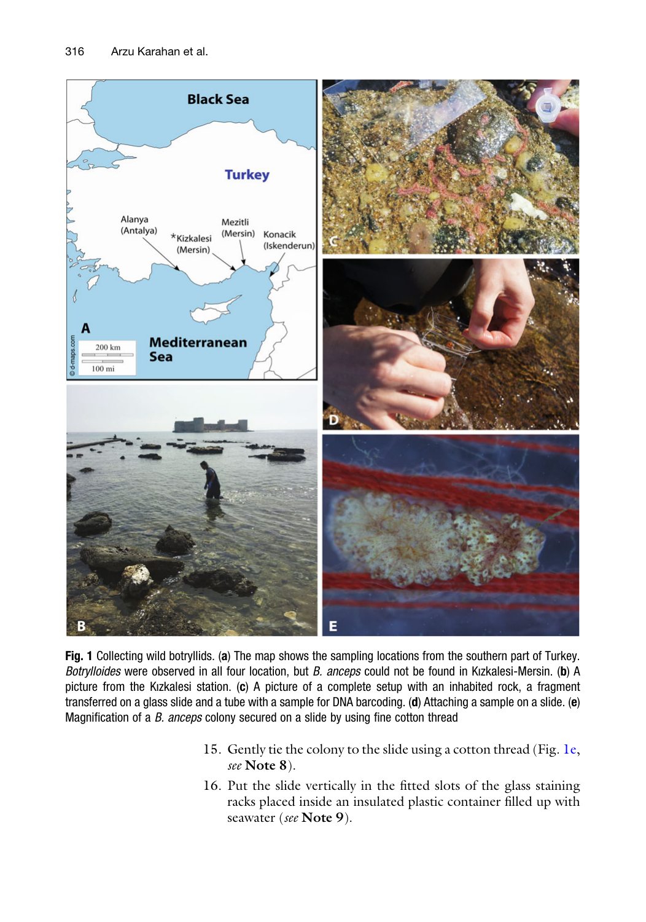<span id="page-5-0"></span>

Fig. 1 Collecting wild botryllids. (a) The map shows the sampling locations from the southern part of Turkey. Botrylloides were observed in all four location, but B. anceps could not be found in Kızkalesi-Mersin. (b) A picture from the Kizkalesi station. (c) A picture of a complete setup with an inhabited rock, a fragment transferred on a glass slide and a tube with a sample for DNA barcoding. (d) Attaching a sample on a slide. (e) Magnification of a B. anceps colony secured on a slide by using fine cotton thread

- 15. Gently tie the colony to the slide using a cotton thread (Fig. [1e,](#page-5-0) see Note 8).
- 16. Put the slide vertically in the fitted slots of the glass staining racks placed inside an insulated plastic container filled up with seawater (see Note 9).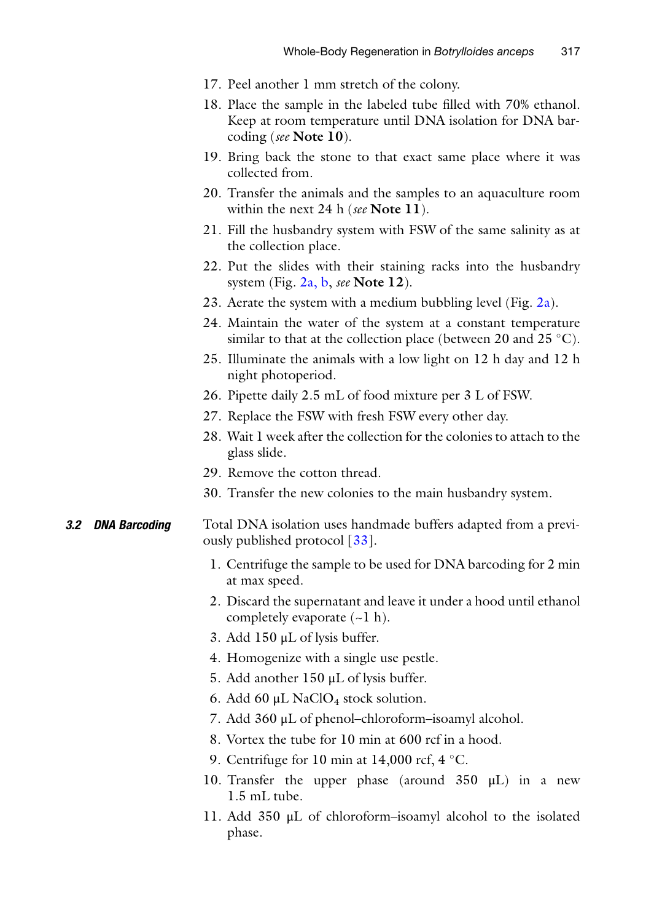- 17. Peel another 1 mm stretch of the colony.
- 18. Place the sample in the labeled tube filled with 70% ethanol. Keep at room temperature until DNA isolation for DNA barcoding (see Note 10).
- 19. Bring back the stone to that exact same place where it was collected from.
- 20. Transfer the animals and the samples to an aquaculture room within the next 24 h (see Note  $11$ ).
- 21. Fill the husbandry system with FSW of the same salinity as at the collection place.
- 22. Put the slides with their staining racks into the husbandry system (Fig.  $2a$ , b, see Note 12).
- 23. Aerate the system with a medium bubbling level (Fig.  $2a$ ).
- 24. Maintain the water of the system at a constant temperature similar to that at the collection place (between 20 and 25  $^{\circ}$ C).
- 25. Illuminate the animals with a low light on 12 h day and 12 h night photoperiod.
- 26. Pipette daily 2.5 mL of food mixture per 3 L of FSW.
- 27. Replace the FSW with fresh FSW every other day.
- 28. Wait 1 week after the collection for the colonies to attach to the glass slide.
- 29. Remove the cotton thread.
- 30. Transfer the new colonies to the main husbandry system.

#### **3.2 DNA Barcoding** Total DNA isolation uses handmade buffers adapted from a previously published protocol [[33\]](#page-21-1).

- 1. Centrifuge the sample to be used for DNA barcoding for 2 min at max speed.
- 2. Discard the supernatant and leave it under a hood until ethanol completely evaporate  $(-1 h)$ .
- 3. Add 150 μL of lysis buffer.
- 4. Homogenize with a single use pestle.
- 5. Add another 150 μL of lysis buffer.
- 6. Add 60  $\mu$ L NaClO<sub>4</sub> stock solution.
- 7. Add 360 μL of phenol–chloroform–isoamyl alcohol.
- 8. Vortex the tube for 10 min at 600 rcf in a hood.
- 9. Centrifuge for 10 min at 14,000 rcf,  $4^{\circ}$ C.
- 10. Transfer the upper phase (around 350 μL) in a new 1.5 mL tube.
- 11. Add 350 μL of chloroform–isoamyl alcohol to the isolated phase.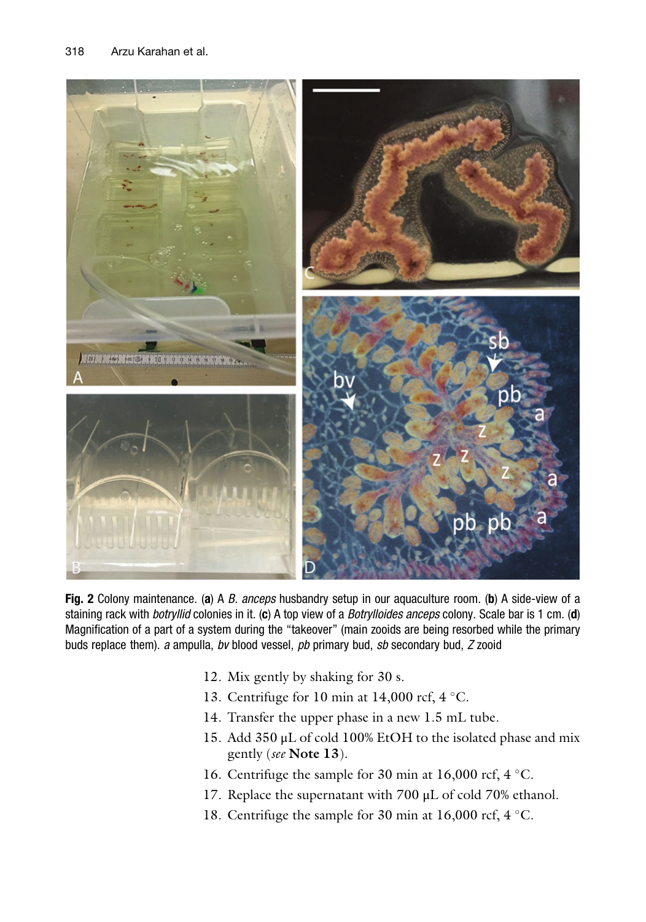<span id="page-7-0"></span>

Fig. 2 Colony maintenance. (a) A B. anceps husbandry setup in our aquaculture room. (b) A side-view of a staining rack with *botryllid* colonies in it. (c) A top view of a *Botrylloides anceps* colony. Scale bar is 1 cm. (d) Magnification of a part of a system during the "takeover" (main zooids are being resorbed while the primary buds replace them). a ampulla, bv blood vessel, pb primary bud, sb secondary bud, Z zooid

- 12. Mix gently by shaking for 30 s.
- 13. Centrifuge for 10 min at 14,000 rcf,  $4^{\circ}$ C.
- 14. Transfer the upper phase in a new 1.5 mL tube.
- 15. Add 350 μL of cold 100% EtOH to the isolated phase and mix gently (see Note 13).
- 16. Centrifuge the sample for 30 min at 16,000 rcf,  $4^{\circ}$ C.
- 17. Replace the supernatant with 700 μL of cold 70% ethanol.
- 18. Centrifuge the sample for 30 min at 16,000 rcf,  $4^{\circ}$ C.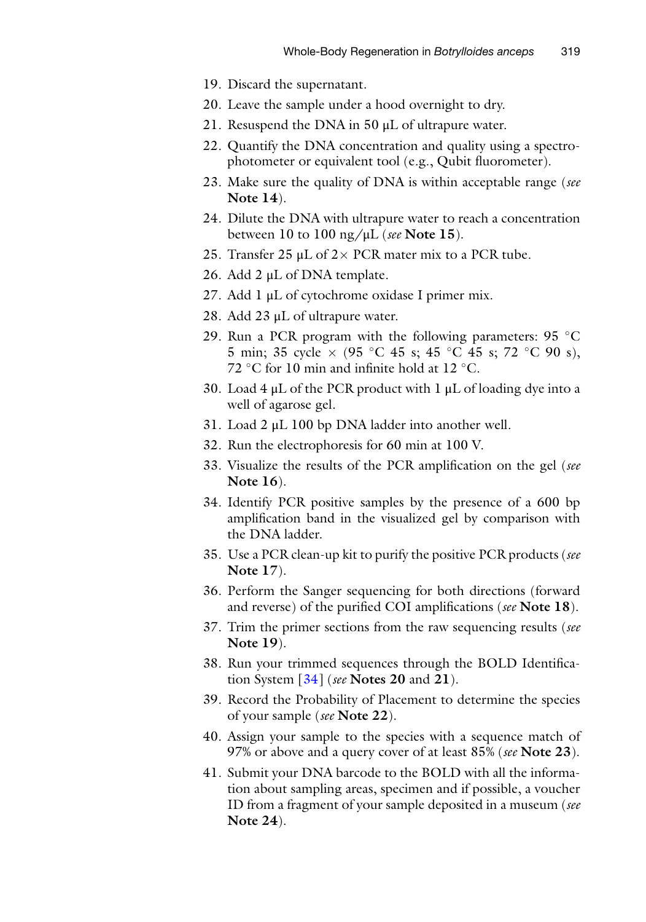- 19. Discard the supernatant.
- 20. Leave the sample under a hood overnight to dry.
- 21. Resuspend the DNA in  $50 \mu L$  of ultrapure water.
- 22. Quantify the DNA concentration and quality using a spectrophotometer or equivalent tool (e.g., Qubit fluorometer).
- 23. Make sure the quality of DNA is within acceptable range (see Note 14).
- 24. Dilute the DNA with ultrapure water to reach a concentration between 10 to 100 ng/ $\mu$ L (see Note 15).
- 25. Transfer 25  $\mu$ L of 2 × PCR mater mix to a PCR tube.
- 26. Add 2 μL of DNA template.
- 27. Add 1 μL of cytochrome oxidase I primer mix.
- 28. Add 23 μL of ultrapure water.
- 29. Run a PCR program with the following parameters:  $95^{\circ}$ C 5 min; 35 cycle  $\times$  (95 °C 45 s; 45 °C 45 s; 72 °C 90 s), 72 °C for 10 min and infinite hold at 12 °C.
- 30. Load 4  $\mu$ L of the PCR product with 1  $\mu$ L of loading dye into a well of agarose gel.
- 31. Load 2 μL 100 bp DNA ladder into another well.
- 32. Run the electrophoresis for 60 min at 100 V.
- 33. Visualize the results of the PCR amplification on the gel (see Note 16).
- 34. Identify PCR positive samples by the presence of a 600 bp amplification band in the visualized gel by comparison with the DNA ladder.
- 35. Use a PCR clean-up kit to purify the positive PCR products (see Note 17).
- 36. Perform the Sanger sequencing for both directions (forward and reverse) of the purified COI amplifications (see Note 18).
- 37. Trim the primer sections from the raw sequencing results (see Note 19).
- 38. Run your trimmed sequences through the BOLD Identification System  $\left[34\right]$  (see Notes 20 and 21).
- 39. Record the Probability of Placement to determine the species of your sample (see Note 22).
- 40. Assign your sample to the species with a sequence match of 97% or above and a query cover of at least 85% (see Note 23).
- 41. Submit your DNA barcode to the BOLD with all the information about sampling areas, specimen and if possible, a voucher ID from a fragment of your sample deposited in a museum (see Note 24).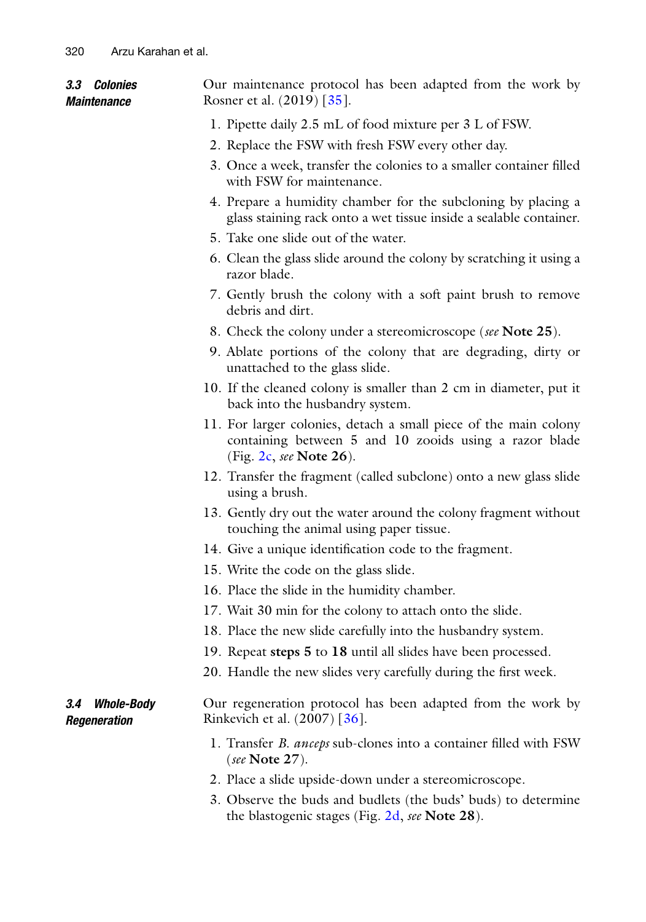| <i><b>3.3 Colonies</b></i><br>Maintenance | Our maintenance protocol has been adapted from the work by<br>Rosner et al. (2019) [35].                                                                    |
|-------------------------------------------|-------------------------------------------------------------------------------------------------------------------------------------------------------------|
|                                           | 1. Pipette daily 2.5 mL of food mixture per 3 L of FSW.                                                                                                     |
|                                           | 2. Replace the FSW with fresh FSW every other day.                                                                                                          |
|                                           | 3. Once a week, transfer the colonies to a smaller container filled<br>with FSW for maintenance.                                                            |
|                                           | 4. Prepare a humidity chamber for the subcloning by placing a<br>glass staining rack onto a wet tissue inside a sealable container.                         |
|                                           | 5. Take one slide out of the water.                                                                                                                         |
|                                           | 6. Clean the glass slide around the colony by scratching it using a<br>razor blade.                                                                         |
|                                           | 7. Gently brush the colony with a soft paint brush to remove<br>debris and dirt.                                                                            |
|                                           | 8. Check the colony under a stereomicroscope (see Note 25).                                                                                                 |
|                                           | 9. Ablate portions of the colony that are degrading, dirty or<br>unattached to the glass slide.                                                             |
|                                           | 10. If the cleaned colony is smaller than 2 cm in diameter, put it<br>back into the husbandry system.                                                       |
|                                           | 11. For larger colonies, detach a small piece of the main colony<br>containing between 5 and 10 zooids using a razor blade<br>(Fig. $2c$ , see Note $26$ ). |
|                                           | 12. Transfer the fragment (called subclone) onto a new glass slide<br>using a brush.                                                                        |
|                                           | 13. Gently dry out the water around the colony fragment without<br>touching the animal using paper tissue.                                                  |
|                                           | 14. Give a unique identification code to the fragment.                                                                                                      |
|                                           | 15. Write the code on the glass slide.                                                                                                                      |
|                                           | 16. Place the slide in the humidity chamber.                                                                                                                |
|                                           | 17. Wait 30 min for the colony to attach onto the slide.                                                                                                    |
|                                           | 18. Place the new slide carefully into the husbandry system.                                                                                                |
|                                           | 19. Repeat steps 5 to 18 until all slides have been processed.                                                                                              |
|                                           | 20. Handle the new slides very carefully during the first week.                                                                                             |
| <b>Whole-Body</b><br>3.4<br>Regeneration  | Our regeneration protocol has been adapted from the work by<br>Rinkevich et al. (2007) [36].                                                                |
|                                           | 1. Transfer <i>B. anceps</i> sub-clones into a container filled with FSW<br>(see Note $27$ ).                                                               |
|                                           | 2. Place a slide upside-down under a stereomicroscope.                                                                                                      |
|                                           | 3. Observe the buds and budlets (the buds' buds) to determine<br>the blastogenic stages (Fig. 2d, see Note 28).                                             |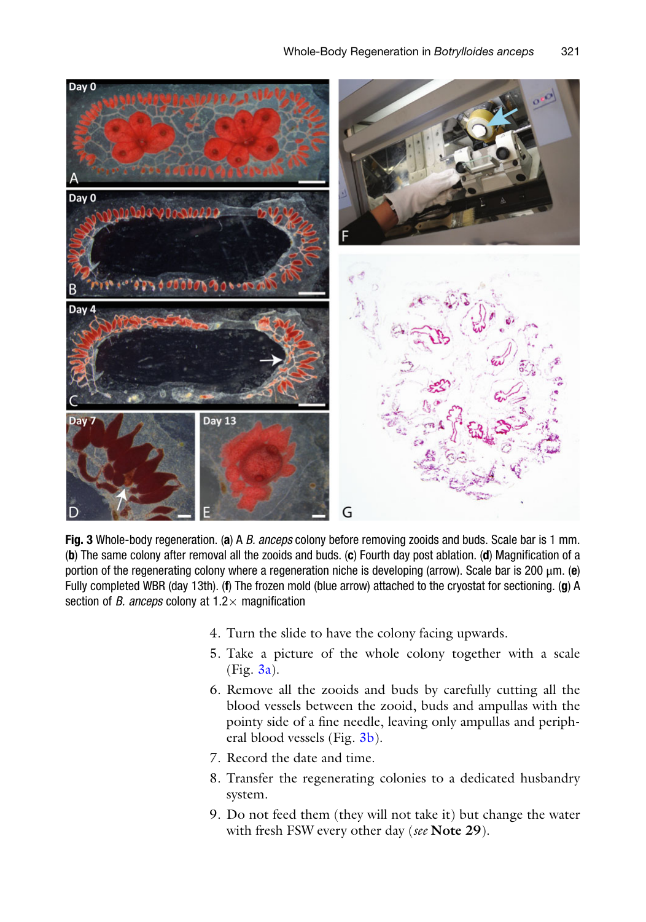<span id="page-10-0"></span>

Fig. 3 Whole-body regeneration. (a) A B. anceps colony before removing zooids and buds. Scale bar is 1 mm. (b) The same colony after removal all the zooids and buds. (c) Fourth day post ablation. (d) Magnification of a portion of the regenerating colony where a regeneration niche is developing (arrow). Scale bar is 200  $\mu$ m. (e) Fully completed WBR (day 13th). (f) The frozen mold (blue arrow) attached to the cryostat for sectioning. (g) A section of *B. anceps* colony at  $1.2 \times$  magnification

- 4. Turn the slide to have the colony facing upwards.
- 5. Take a picture of the whole colony together with a scale  $(Fig. 3a)$  $(Fig. 3a)$ .
- 6. Remove all the zooids and buds by carefully cutting all the blood vessels between the zooid, buds and ampullas with the pointy side of a fine needle, leaving only ampullas and peripheral blood vessels (Fig. [3b\)](#page-10-0).
- 7. Record the date and time.
- 8. Transfer the regenerating colonies to a dedicated husbandry system.
- 9. Do not feed them (they will not take it) but change the water with fresh FSW every other day (see Note 29).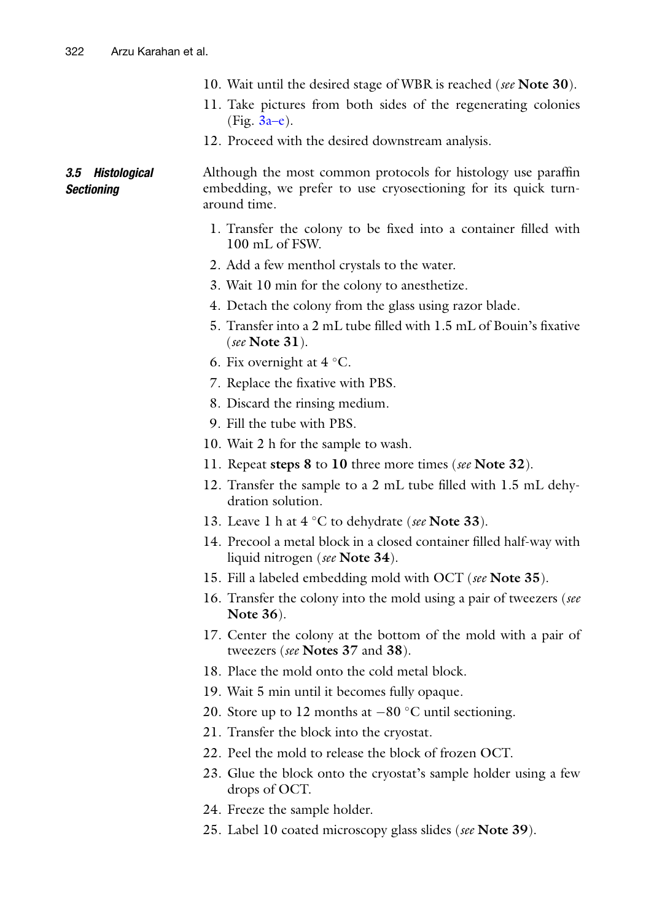- 10. Wait until the desired stage of WBR is reached (see Note 30).
- 11. Take pictures from both sides of the regenerating colonies  $(Fig. 3a-e).$
- 12. Proceed with the desired downstream analysis.

#### 3.5 Histological **Sectioning** Although the most common protocols for histology use paraffin embedding, we prefer to use cryosectioning for its quick turnaround time.

- 1. Transfer the colony to be fixed into a container filled with 100 mL of FSW.
- 2. Add a few menthol crystals to the water.
- 3. Wait 10 min for the colony to anesthetize.
- 4. Detach the colony from the glass using razor blade.
- 5. Transfer into a 2 mL tube filled with 1.5 mL of Bouin's fixative (see Note  $31$ ).
- 6. Fix overnight at  $4^{\circ}$ C.
- 7. Replace the fixative with PBS.
- 8. Discard the rinsing medium.
- 9. Fill the tube with PBS.
- 10. Wait 2 h for the sample to wash.
- 11. Repeat steps 8 to 10 three more times (see Note 32).
- 12. Transfer the sample to a 2 mL tube filled with 1.5 mL dehydration solution.
- 13. Leave 1 h at  $4^{\circ}$ C to dehydrate (see Note 33).
- 14. Precool a metal block in a closed container filled half-way with liquid nitrogen (see **Note 34**).
- 15. Fill a labeled embedding mold with OCT (see Note 35).
- 16. Transfer the colony into the mold using a pair of tweezers (see Note 36).
- 17. Center the colony at the bottom of the mold with a pair of tweezers (see Notes 37 and 38).
- 18. Place the mold onto the cold metal block.
- 19. Wait 5 min until it becomes fully opaque.
- 20. Store up to 12 months at  $-80$  °C until sectioning.
- 21. Transfer the block into the cryostat.
- 22. Peel the mold to release the block of frozen OCT.
- 23. Glue the block onto the cryostat's sample holder using a few drops of OCT.
- 24. Freeze the sample holder.
- 25. Label 10 coated microscopy glass slides (see Note 39).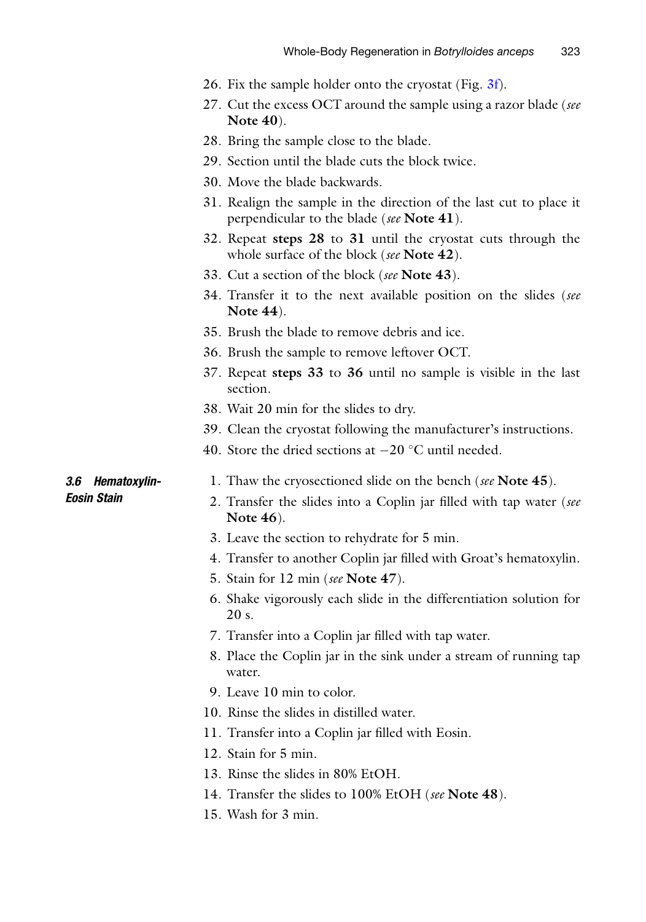- 26. Fix the sample holder onto the cryostat (Fig. [3f\)](#page-10-0).
- 27. Cut the excess OCT around the sample using a razor blade (see Note 40).
- 28. Bring the sample close to the blade.
- 29. Section until the blade cuts the block twice.
- 30. Move the blade backwards.
- 31. Realign the sample in the direction of the last cut to place it perpendicular to the blade (see Note 41).
- 32. Repeat steps 28 to 31 until the cryostat cuts through the whole surface of the block (see Note 42).
- 33. Cut a section of the block (see Note 43).
- 34. Transfer it to the next available position on the slides (see Note 44).
- 35. Brush the blade to remove debris and ice.
- 36. Brush the sample to remove leftover OCT.
- 37. Repeat steps 33 to 36 until no sample is visible in the last section.
- 38. Wait 20 min for the slides to dry.
- 39. Clean the cryostat following the manufacturer's instructions.
- 40. Store the dried sections at  $-20$  °C until needed.

#### 3.6 Hematoxylin-Eosin Stain

- 1. Thaw the cryosectioned slide on the bench (see Note 45).
- 2. Transfer the slides into a Coplin jar filled with tap water (see Note 46).
- 3. Leave the section to rehydrate for 5 min.
- 4. Transfer to another Coplin jar filled with Groat's hematoxylin.
- 5. Stain for 12 min (see Note 47).
- 6. Shake vigorously each slide in the differentiation solution for 20 s.
- 7. Transfer into a Coplin jar filled with tap water.
- 8. Place the Coplin jar in the sink under a stream of running tap water.
- 9. Leave 10 min to color.
- 10. Rinse the slides in distilled water.
- 11. Transfer into a Coplin jar filled with Eosin.
- 12. Stain for 5 min.
- 13. Rinse the slides in 80% EtOH.
- 14. Transfer the slides to 100% EtOH (see Note 48).
- 15. Wash for 3 min.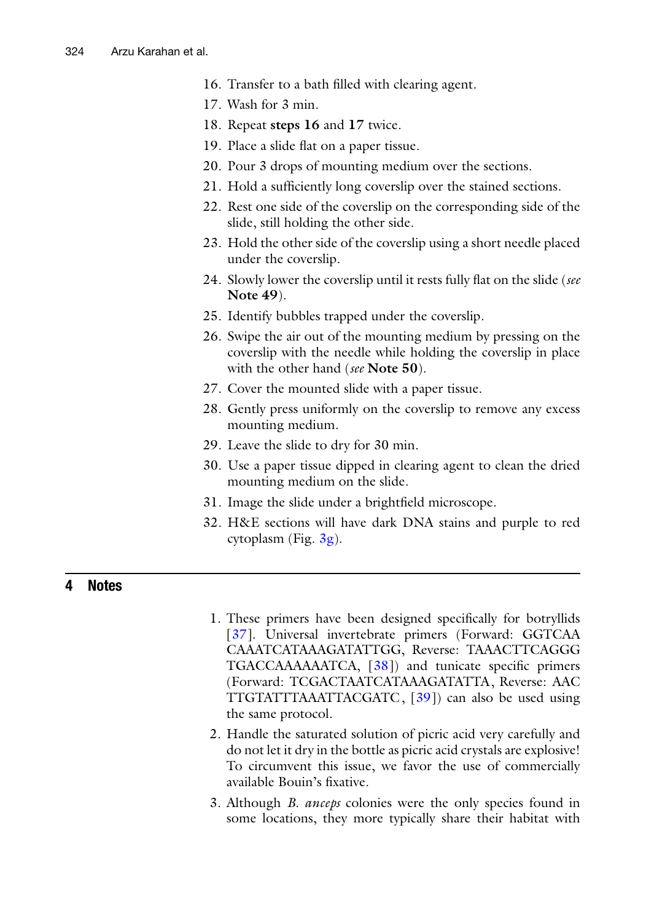- 16. Transfer to a bath filled with clearing agent.
- 17. Wash for 3 min.
- 18. Repeat steps 16 and 17 twice.
- 19. Place a slide flat on a paper tissue.
- 20. Pour 3 drops of mounting medium over the sections.
- 21. Hold a sufficiently long coverslip over the stained sections.
- 22. Rest one side of the coverslip on the corresponding side of the slide, still holding the other side.
- 23. Hold the other side of the coverslip using a short needle placed under the coverslip.
- 24. Slowly lower the coverslip until it rests fully flat on the slide (see Note 49).
- 25. Identify bubbles trapped under the coverslip.
- 26. Swipe the air out of the mounting medium by pressing on the coverslip with the needle while holding the coverslip in place with the other hand (see **Note 50**).
- 27. Cover the mounted slide with a paper tissue.
- 28. Gently press uniformly on the coverslip to remove any excess mounting medium.
- 29. Leave the slide to dry for 30 min.
- 30. Use a paper tissue dipped in clearing agent to clean the dried mounting medium on the slide.
- 31. Image the slide under a brightfield microscope.
- 32. H&E sections will have dark DNA stains and purple to red cytoplasm (Fig.  $3g$ ).

## 4 Notes

- 1. These primers have been designed specifically for botryllids [\[37\]](#page-21-5). Universal invertebrate primers (Forward: GGTCAA CAAATCATAAAGATATTGG, Reverse: TAAACTTCAGGG TGACCAAAAAATCA, [\[38\]](#page-21-6)) and tunicate specific primers (Forward: TCGACTAATCATAAAGATATTA, Reverse: AAC TTGTATTTAAATTACGATC, [\[39\]](#page-21-7)) can also be used using the same protocol.
- 2. Handle the saturated solution of picric acid very carefully and do not let it dry in the bottle as picric acid crystals are explosive! To circumvent this issue, we favor the use of commercially available Bouin's fixative.
- 3. Although *B. anceps* colonies were the only species found in some locations, they more typically share their habitat with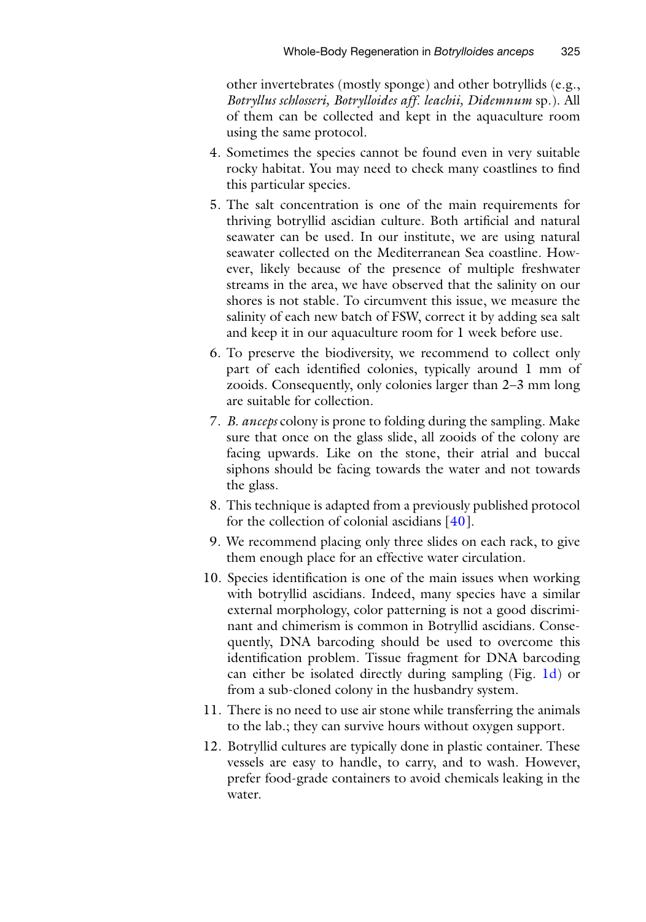other invertebrates (mostly sponge) and other botryllids (e.g., Botryllus schlosseri, Botrylloides aff. leachii, Didemnum sp.). All of them can be collected and kept in the aquaculture room using the same protocol.

- 4. Sometimes the species cannot be found even in very suitable rocky habitat. You may need to check many coastlines to find this particular species.
- 5. The salt concentration is one of the main requirements for thriving botryllid ascidian culture. Both artificial and natural seawater can be used. In our institute, we are using natural seawater collected on the Mediterranean Sea coastline. However, likely because of the presence of multiple freshwater streams in the area, we have observed that the salinity on our shores is not stable. To circumvent this issue, we measure the salinity of each new batch of FSW, correct it by adding sea salt and keep it in our aquaculture room for 1 week before use.
- 6. To preserve the biodiversity, we recommend to collect only part of each identified colonies, typically around 1 mm of zooids. Consequently, only colonies larger than 2–3 mm long are suitable for collection.
- 7. B. anceps colony is prone to folding during the sampling. Make sure that once on the glass slide, all zooids of the colony are facing upwards. Like on the stone, their atrial and buccal siphons should be facing towards the water and not towards the glass.
- 8. This technique is adapted from a previously published protocol for the collection of colonial ascidians [\[40\]](#page-21-8).
- 9. We recommend placing only three slides on each rack, to give them enough place for an effective water circulation.
- 10. Species identification is one of the main issues when working with botryllid ascidians. Indeed, many species have a similar external morphology, color patterning is not a good discriminant and chimerism is common in Botryllid ascidians. Consequently, DNA barcoding should be used to overcome this identification problem. Tissue fragment for DNA barcoding can either be isolated directly during sampling (Fig. [1d](#page-5-0)) or from a sub-cloned colony in the husbandry system.
- 11. There is no need to use air stone while transferring the animals to the lab.; they can survive hours without oxygen support.
- 12. Botryllid cultures are typically done in plastic container. These vessels are easy to handle, to carry, and to wash. However, prefer food-grade containers to avoid chemicals leaking in the water.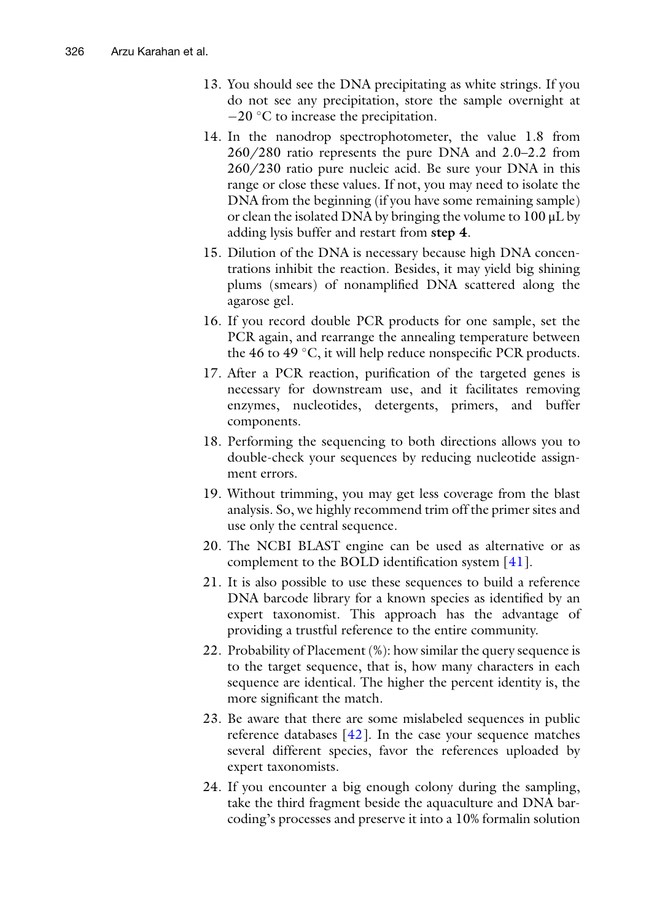- 13. You should see the DNA precipitating as white strings. If you do not see any precipitation, store the sample overnight at  $-20$  °C to increase the precipitation.
- 14. In the nanodrop spectrophotometer, the value 1.8 from 260/280 ratio represents the pure DNA and 2.0–2.2 from 260/230 ratio pure nucleic acid. Be sure your DNA in this range or close these values. If not, you may need to isolate the DNA from the beginning (if you have some remaining sample) or clean the isolated DNA by bringing the volume to 100 μL by adding lysis buffer and restart from step 4.
- 15. Dilution of the DNA is necessary because high DNA concentrations inhibit the reaction. Besides, it may yield big shining plums (smears) of nonamplified DNA scattered along the agarose gel.
- 16. If you record double PCR products for one sample, set the PCR again, and rearrange the annealing temperature between the 46 to 49  $\degree$ C, it will help reduce nonspecific PCR products.
- 17. After a PCR reaction, purification of the targeted genes is necessary for downstream use, and it facilitates removing enzymes, nucleotides, detergents, primers, and buffer components.
- 18. Performing the sequencing to both directions allows you to double-check your sequences by reducing nucleotide assignment errors.
- 19. Without trimming, you may get less coverage from the blast analysis. So, we highly recommend trim off the primer sites and use only the central sequence.
- 20. The NCBI BLAST engine can be used as alternative or as complement to the BOLD identification system [[41](#page-21-9)].
- 21. It is also possible to use these sequences to build a reference DNA barcode library for a known species as identified by an expert taxonomist. This approach has the advantage of providing a trustful reference to the entire community.
- 22. Probability of Placement (%): how similar the query sequence is to the target sequence, that is, how many characters in each sequence are identical. The higher the percent identity is, the more significant the match.
- 23. Be aware that there are some mislabeled sequences in public reference databases  $[42]$  $[42]$ . In the case your sequence matches several different species, favor the references uploaded by expert taxonomists.
- 24. If you encounter a big enough colony during the sampling, take the third fragment beside the aquaculture and DNA barcoding's processes and preserve it into a 10% formalin solution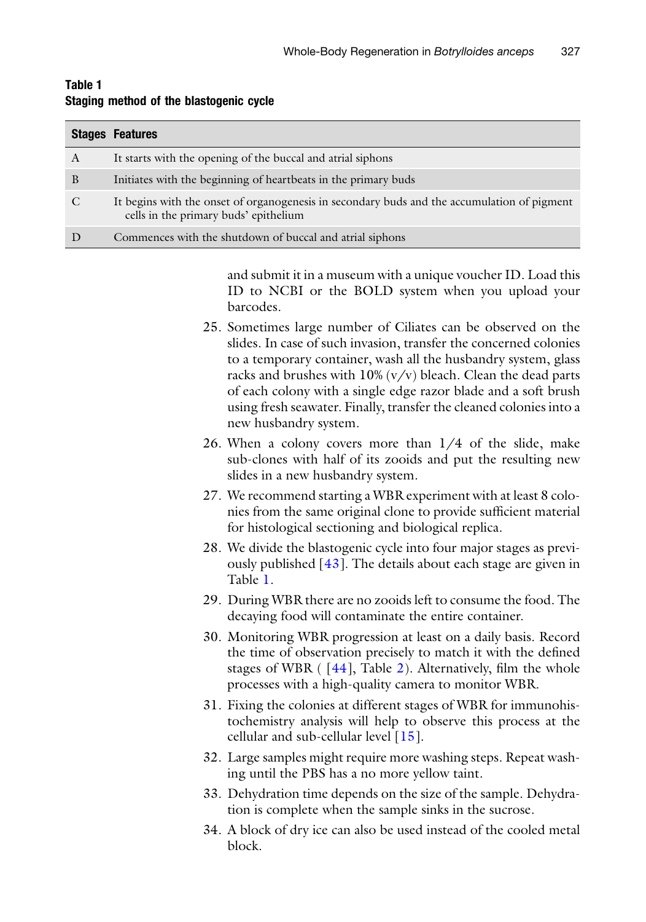|   | <b>Stages Features</b>                                                                                                               |
|---|--------------------------------------------------------------------------------------------------------------------------------------|
| A | It starts with the opening of the buccal and atrial siphons                                                                          |
| B | Initiates with the beginning of heartbeats in the primary buds                                                                       |
|   | It begins with the onset of organogenesis in secondary buds and the accumulation of pigment<br>cells in the primary buds' epithelium |
|   | Commences with the shutdown of buccal and atrial siphons                                                                             |

#### <span id="page-16-0"></span>Table 1 Staging method of the blastogenic cycle

and submit it in a museum with a unique voucher ID. Load this ID to NCBI or the BOLD system when you upload your barcodes.

- 25. Sometimes large number of Ciliates can be observed on the slides. In case of such invasion, transfer the concerned colonies to a temporary container, wash all the husbandry system, glass racks and brushes with  $10\%$  (v/v) bleach. Clean the dead parts of each colony with a single edge razor blade and a soft brush using fresh seawater. Finally, transfer the cleaned colonies into a new husbandry system.
- 26. When a colony covers more than 1/4 of the slide, make sub-clones with half of its zooids and put the resulting new slides in a new husbandry system.
- 27. We recommend starting a WBR experiment with at least 8 colonies from the same original clone to provide sufficient material for histological sectioning and biological replica.
- 28. We divide the blastogenic cycle into four major stages as previously published [[43](#page-21-11)]. The details about each stage are given in Table [1](#page-16-0).
- 29. During WBR there are no zooids left to consume the food. The decaying food will contaminate the entire container.
- 30. Monitoring WBR progression at least on a daily basis. Record the time of observation precisely to match it with the defined stages of WBR  $(44]$ , Table [2](#page-17-0)). Alternatively, film the whole processes with a high-quality camera to monitor WBR.
- 31. Fixing the colonies at different stages of WBR for immunohistochemistry analysis will help to observe this process at the cellular and sub-cellular level  $\lceil 15 \rceil$  $\lceil 15 \rceil$  $\lceil 15 \rceil$ .
- 32. Large samples might require more washing steps. Repeat washing until the PBS has a no more yellow taint.
- 33. Dehydration time depends on the size of the sample. Dehydration is complete when the sample sinks in the sucrose.
- 34. A block of dry ice can also be used instead of the cooled metal block.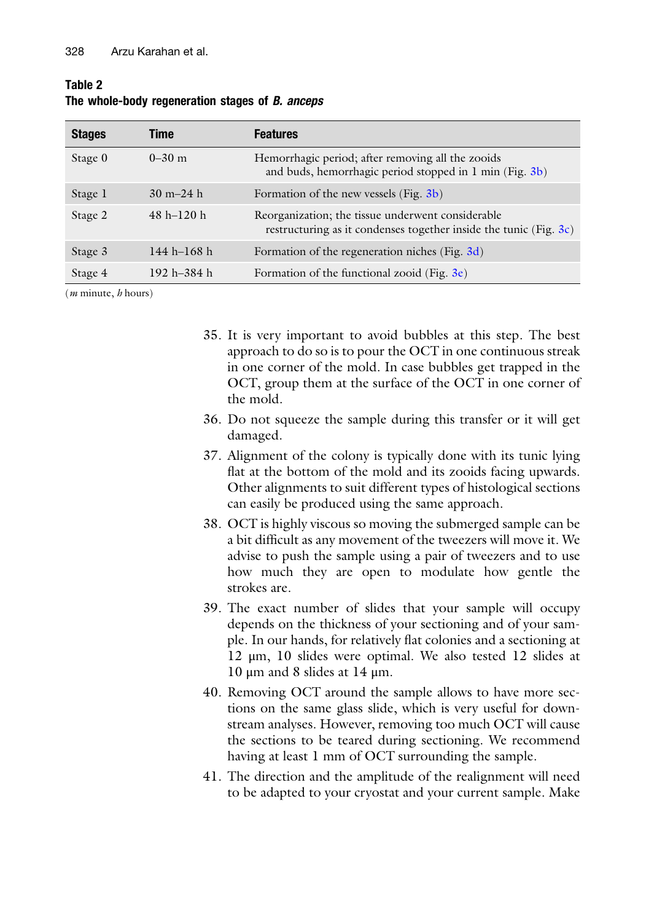| <b>Stages</b> | Time                          | <b>Features</b>                                                                                                        |
|---------------|-------------------------------|------------------------------------------------------------------------------------------------------------------------|
| Stage 0       | $0-30$ m                      | Hemorrhagic period; after removing all the zooids<br>and buds, hemorrhagic period stopped in 1 min (Fig. 3b)           |
| Stage 1       | $30 \text{ m} - 24 \text{ h}$ | Formation of the new vessels (Fig. 3b)                                                                                 |
| Stage 2       | $48 h - 120 h$                | Reorganization; the tissue underwent considerable<br>restructuring as it condenses together inside the tunic (Fig. 3c) |
| Stage 3       | $144 h - 168 h$               | Formation of the regeneration niches (Fig. 3d)                                                                         |
| Stage 4       | 192 h $-384$ h                | Formation of the functional zooid (Fig. $3e$ )                                                                         |

#### <span id="page-17-0"></span>Table 2 The whole-body regeneration stages of *B. anceps*

 $(m \text{ minute}, h \text{ hours})$ 

- 35. It is very important to avoid bubbles at this step. The best approach to do so is to pour the OCT in one continuous streak in one corner of the mold. In case bubbles get trapped in the OCT, group them at the surface of the OCT in one corner of the mold.
- 36. Do not squeeze the sample during this transfer or it will get damaged.
- 37. Alignment of the colony is typically done with its tunic lying flat at the bottom of the mold and its zooids facing upwards. Other alignments to suit different types of histological sections can easily be produced using the same approach.
- 38. OCT is highly viscous so moving the submerged sample can be a bit difficult as any movement of the tweezers will move it. We advise to push the sample using a pair of tweezers and to use how much they are open to modulate how gentle the strokes are.
- 39. The exact number of slides that your sample will occupy depends on the thickness of your sectioning and of your sample. In our hands, for relatively flat colonies and a sectioning at 12 μm, 10 slides were optimal. We also tested 12 slides at 10 μm and 8 slides at 14 μm.
- 40. Removing OCT around the sample allows to have more sections on the same glass slide, which is very useful for downstream analyses. However, removing too much OCT will cause the sections to be teared during sectioning. We recommend having at least 1 mm of OCT surrounding the sample.
- 41. The direction and the amplitude of the realignment will need to be adapted to your cryostat and your current sample. Make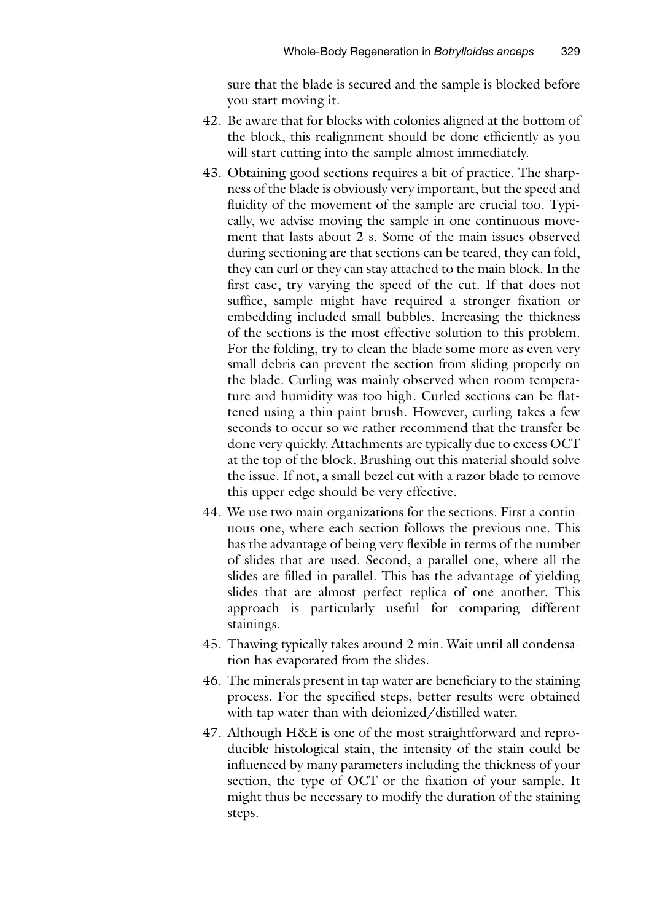sure that the blade is secured and the sample is blocked before you start moving it.

- 42. Be aware that for blocks with colonies aligned at the bottom of the block, this realignment should be done efficiently as you will start cutting into the sample almost immediately.
- 43. Obtaining good sections requires a bit of practice. The sharpness of the blade is obviously very important, but the speed and fluidity of the movement of the sample are crucial too. Typically, we advise moving the sample in one continuous movement that lasts about 2 s. Some of the main issues observed during sectioning are that sections can be teared, they can fold, they can curl or they can stay attached to the main block. In the first case, try varying the speed of the cut. If that does not suffice, sample might have required a stronger fixation or embedding included small bubbles. Increasing the thickness of the sections is the most effective solution to this problem. For the folding, try to clean the blade some more as even very small debris can prevent the section from sliding properly on the blade. Curling was mainly observed when room temperature and humidity was too high. Curled sections can be flattened using a thin paint brush. However, curling takes a few seconds to occur so we rather recommend that the transfer be done very quickly. Attachments are typically due to excess OCT at the top of the block. Brushing out this material should solve the issue. If not, a small bezel cut with a razor blade to remove this upper edge should be very effective.
- 44. We use two main organizations for the sections. First a continuous one, where each section follows the previous one. This has the advantage of being very flexible in terms of the number of slides that are used. Second, a parallel one, where all the slides are filled in parallel. This has the advantage of yielding slides that are almost perfect replica of one another. This approach is particularly useful for comparing different stainings.
- 45. Thawing typically takes around 2 min. Wait until all condensation has evaporated from the slides.
- 46. The minerals present in tap water are beneficiary to the staining process. For the specified steps, better results were obtained with tap water than with deionized/distilled water.
- 47. Although H&E is one of the most straightforward and reproducible histological stain, the intensity of the stain could be influenced by many parameters including the thickness of your section, the type of OCT or the fixation of your sample. It might thus be necessary to modify the duration of the staining steps.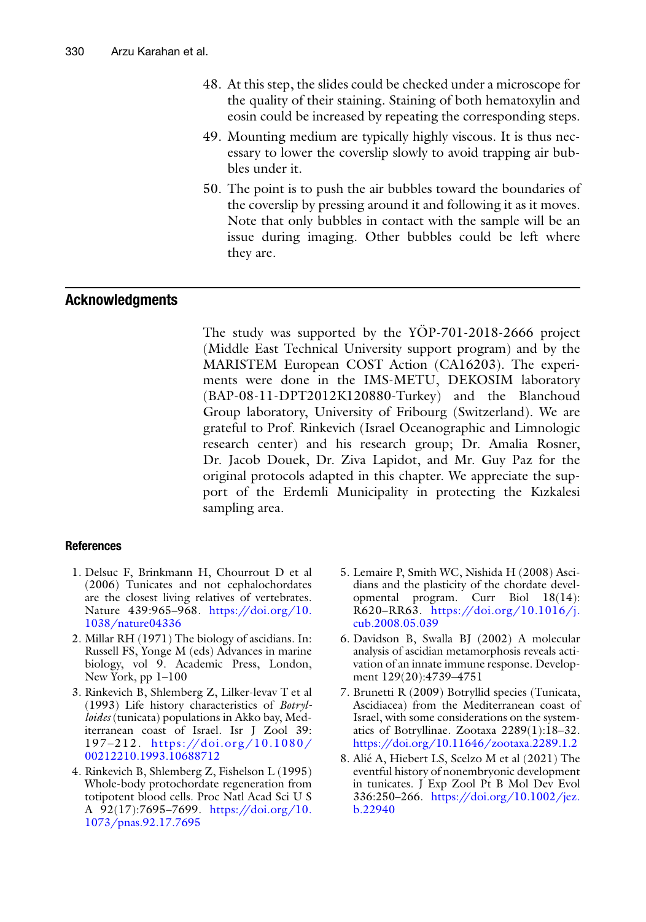- 48. At this step, the slides could be checked under a microscope for the quality of their staining. Staining of both hematoxylin and eosin could be increased by repeating the corresponding steps.
- 49. Mounting medium are typically highly viscous. It is thus necessary to lower the coverslip slowly to avoid trapping air bubbles under it.
- 50. The point is to push the air bubbles toward the boundaries of the coverslip by pressing around it and following it as it moves. Note that only bubbles in contact with the sample will be an issue during imaging. Other bubbles could be left where they are.

#### Acknowledgments

The study was supported by the  $YOP-701-2018-2666$  project (Middle East Technical University support program) and by the MARISTEM European COST Action (CA16203). The experiments were done in the IMS-METU, DEKOSIM laboratory (BAP-08-11-DPT2012K120880-Turkey) and the Blanchoud Group laboratory, University of Fribourg (Switzerland). We are grateful to Prof. Rinkevich (Israel Oceanographic and Limnologic research center) and his research group; Dr. Amalia Rosner, Dr. Jacob Douek, Dr. Ziva Lapidot, and Mr. Guy Paz for the original protocols adapted in this chapter. We appreciate the support of the Erdemli Municipality in protecting the Kızkalesi sampling area.

#### <span id="page-19-0"></span>References

- 1. Delsuc F, Brinkmann H, Chourrout D et al (2006) Tunicates and not cephalochordates are the closest living relatives of vertebrates. Nature 439:965–968. [https://doi.org/10.](https://doi.org/10.1038/nature04336) [1038/nature04336](https://doi.org/10.1038/nature04336)
- <span id="page-19-1"></span>2. Millar RH (1971) The biology of ascidians. In: Russell FS, Yonge M (eds) Advances in marine biology, vol 9. Academic Press, London, New York, pp 1–100
- <span id="page-19-2"></span>3. Rinkevich B, Shlemberg Z, Lilker-levav T et al (1993) Life history characteristics of Botrylloides (tunicata) populations in Akko bay, Mediterranean coast of Israel. Isr J Zool 39: 197-212. https://doi.org/10.1080/ [00212210.1993.10688712](https://doi.org/10.1080/00212210.1993.10688712)
- <span id="page-19-4"></span><span id="page-19-3"></span>4. Rinkevich B, Shlemberg Z, Fishelson L (1995) Whole-body protochordate regeneration from totipotent blood cells. Proc Natl Acad Sci U S A 92(17):7695–7699. [https://doi.org/10.](https://doi.org/10.1073/pnas.92.17.7695) [1073/pnas.92.17.7695](https://doi.org/10.1073/pnas.92.17.7695)
- 5. Lemaire P, Smith WC, Nishida H (2008) Ascidians and the plasticity of the chordate developmental program. Curr Biol 18(14): R620–RR63. [https://doi.org/10.1016/j.](https://doi.org/10.1016/j.cub.2008.05.039) [cub.2008.05.039](https://doi.org/10.1016/j.cub.2008.05.039)
- 6. Davidson B, Swalla BJ (2002) A molecular analysis of ascidian metamorphosis reveals activation of an innate immune response. Development 129(20):4739–4751
- 7. Brunetti R (2009) Botryllid species (Tunicata, Ascidiacea) from the Mediterranean coast of Israel, with some considerations on the systematics of Botryllinae. Zootaxa 2289(1):18–32. <https://doi.org/10.11646/zootaxa.2289.1.2>
- 8. Alié A, Hiebert LS, Scelzo M et al (2021) The eventful history of nonembryonic development in tunicates. J Exp Zool Pt B Mol Dev Evol 336:250–266. [https://doi.org/10.1002/jez.](https://doi.org/10.1002/jez.b.22940) [b.22940](https://doi.org/10.1002/jez.b.22940)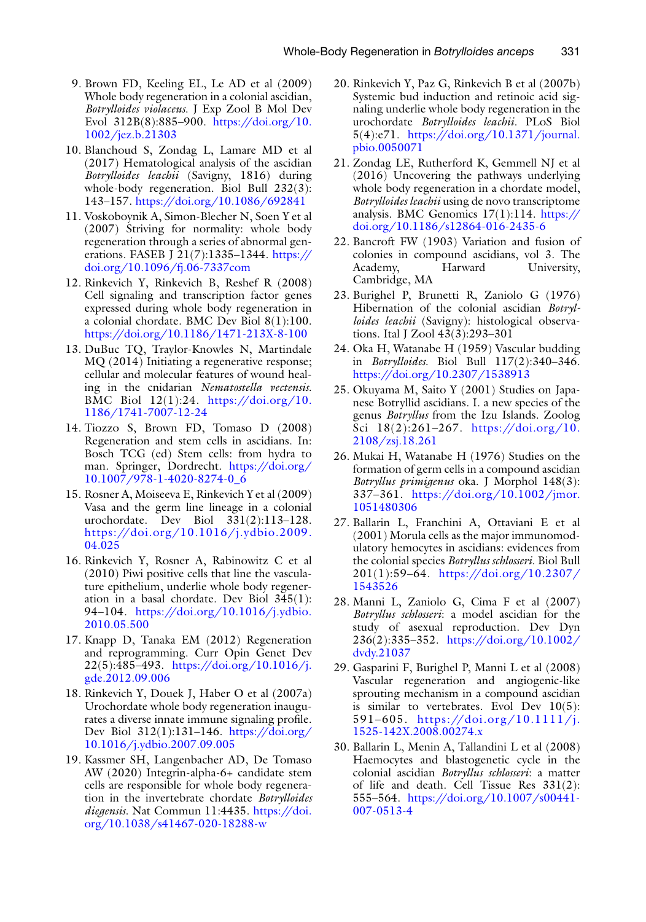- <span id="page-20-0"></span>9. Brown FD, Keeling EL, Le AD et al (2009) Whole body regeneration in a colonial ascidian, Botrylloides violaceus. J Exp Zool B Mol Dev Evol 312B(8):885–900. [https://doi.org/10.](https://doi.org/10.1002/jez.b.21303) [1002/jez.b.21303](https://doi.org/10.1002/jez.b.21303)
- <span id="page-20-10"></span>10. Blanchoud S, Zondag L, Lamare MD et al (2017) Hematological analysis of the ascidian Botrylloides leachii (Savigny, 1816) during whole-body regeneration. Biol Bull 232(3): 143–157. <https://doi.org/10.1086/692841>
- <span id="page-20-11"></span><span id="page-20-1"></span>11. Voskoboynik A, Simon-Blecher N, Soen Y et al (2007) Striving for normality: whole body regeneration through a series of abnormal generations. FASEB J 21(7):1335–1344. [https://](https://doi.org/10.1096/fj.06-7337com) [doi.org/10.1096/fj.06-7337com](https://doi.org/10.1096/fj.06-7337com)
- <span id="page-20-12"></span><span id="page-20-2"></span>12. Rinkevich Y, Rinkevich B, Reshef R (2008) Cell signaling and transcription factor genes expressed during whole body regeneration in a colonial chordate. BMC Dev Biol 8(1):100. <https://doi.org/10.1186/1471-213X-8-100>
- <span id="page-20-9"></span>13. DuBuc TQ, Traylor-Knowles N, Martindale MQ (2014) Initiating a regenerative response; cellular and molecular features of wound healing in the cnidarian Nematostella vectensis. BMC Biol 12(1):24. [https://doi.org/10.](https://doi.org/10.1186/1741-7007-12-24) [1186/1741-7007-12-24](https://doi.org/10.1186/1741-7007-12-24)
- <span id="page-20-13"></span><span id="page-20-6"></span>14. Tiozzo S, Brown FD, Tomaso D (2008) Regeneration and stem cells in ascidians. In: Bosch TCG (ed) Stem cells: from hydra to man. Springer, Dordrecht. [https://doi.org/](https://doi.org/10.1007/978-1-4020-8274-0_6) [10.1007/978-1-4020-8274-0\\_6](https://doi.org/10.1007/978-1-4020-8274-0_6)
- <span id="page-20-14"></span><span id="page-20-3"></span>15. Rosner A, Moiseeva E, Rinkevich Y et al (2009) Vasa and the germ line lineage in a colonial urochordate. Dev Biol 331(2):113–128. [https://doi.org/10.1016/j.ydbio.2009.](https://doi.org/10.1016/j.ydbio.2009.04.025) [04.025](https://doi.org/10.1016/j.ydbio.2009.04.025)
- <span id="page-20-4"></span>16. Rinkevich Y, Rosner A, Rabinowitz C et al (2010) Piwi positive cells that line the vasculature epithelium, underlie whole body regeneration in a basal chordate. Dev Biol 345(1): 94–104. [https://doi.org/10.1016/j.ydbio.](https://doi.org/10.1016/j.ydbio.2010.05.500) [2010.05.500](https://doi.org/10.1016/j.ydbio.2010.05.500)
- <span id="page-20-5"></span>17. Knapp D, Tanaka EM (2012) Regeneration and reprogramming. Curr Opin Genet Dev  $22(5):485-493.$  [https://doi.org/10.1016/j.](https://doi.org/10.1016/j.gde.2012.09.006) [gde.2012.09.006](https://doi.org/10.1016/j.gde.2012.09.006)
- <span id="page-20-7"></span>18. Rinkevich Y, Douek J, Haber O et al (2007a) Urochordate whole body regeneration inaugurates a diverse innate immune signaling profile. Dev Biol 312(1):131–146. [https://doi.org/](https://doi.org/10.1016/j.ydbio.2007.09.005) [10.1016/j.ydbio.2007.09.005](https://doi.org/10.1016/j.ydbio.2007.09.005)
- <span id="page-20-8"></span>19. Kassmer SH, Langenbacher AD, De Tomaso AW (2020) Integrin-alpha-6+ candidate stem cells are responsible for whole body regeneration in the invertebrate chordate Botrylloides diegensis. Nat Commun 11:4435. [https://doi.](https://doi.org/10.1038/s41467-020-18288-w) [org/10.1038/s41467-020-18288-w](https://doi.org/10.1038/s41467-020-18288-w)
- 20. Rinkevich Y, Paz G, Rinkevich B et al (2007b) Systemic bud induction and retinoic acid signaling underlie whole body regeneration in the urochordate Botrylloides leachii. PLoS Biol 5(4):e71. [https://doi.org/10.1371/journal.](https://doi.org/10.1371/journal.pbio.0050071) [pbio.0050071](https://doi.org/10.1371/journal.pbio.0050071)
- 21. Zondag LE, Rutherford K, Gemmell NJ et al (2016) Uncovering the pathways underlying whole body regeneration in a chordate model, Botrylloides leachii using de novo transcriptome analysis. BMC Genomics 17(1):114. [https://](https://doi.org/10.1186/s12864-016-2435-6) [doi.org/10.1186/s12864-016-2435-6](https://doi.org/10.1186/s12864-016-2435-6)
- 22. Bancroft FW (1903) Variation and fusion of colonies in compound ascidians, vol 3. The Academy, Harward University, Cambridge, MA
- 23. Burighel P, Brunetti R, Zaniolo G (1976) Hibernation of the colonial ascidian Botrylloides leachii (Savigny): histological observations. Ital J Zool 43(3):293–301
- 24. Oka H, Watanabe H (1959) Vascular budding in Botrylloides. Biol Bull 117(2):340–346. <https://doi.org/10.2307/1538913>
- 25. Okuyama M, Saito Y (2001) Studies on Japanese Botryllid ascidians. I. a new species of the genus Botryllus from the Izu Islands. Zoolog Sci 18(2):261–267. [https://doi.org/10.](https://doi.org/10.2108/zsj.18.261) [2108/zsj.18.261](https://doi.org/10.2108/zsj.18.261)
- 26. Mukai H, Watanabe H (1976) Studies on the formation of germ cells in a compound ascidian Botryllus primigenus oka. J Morphol 148(3): 337–361. [https://doi.org/10.1002/jmor.](https://doi.org/10.1002/jmor.1051480306) [1051480306](https://doi.org/10.1002/jmor.1051480306)
- 27. Ballarin L, Franchini A, Ottaviani E et al (2001) Morula cells as the major immunomodulatory hemocytes in ascidians: evidences from the colonial species Botryllus schlosseri. Biol Bull 201(1):59–64. [https://doi.org/10.2307/](https://doi.org/10.2307/1543526) [1543526](https://doi.org/10.2307/1543526)
- 28. Manni L, Zaniolo G, Cima F et al (2007) Botryllus schlosseri: a model ascidian for the study of asexual reproduction. Dev Dyn 236(2):335–352. [https://doi.org/10.1002/](https://doi.org/10.1002/dvdy.21037) [dvdy.21037](https://doi.org/10.1002/dvdy.21037)
- 29. Gasparini F, Burighel P, Manni L et al (2008) Vascular regeneration and angiogenic-like sprouting mechanism in a compound ascidian is similar to vertebrates. Evol Dev  $10(5)$ : 591–605. [https://doi.org/10.1111/j.](https://doi.org/10.1111/j.1525-142X.2008.00274.x) [1525-142X.2008.00274.x](https://doi.org/10.1111/j.1525-142X.2008.00274.x)
- 30. Ballarin L, Menin A, Tallandini L et al (2008) Haemocytes and blastogenetic cycle in the colonial ascidian Botryllus schlosseri: a matter of life and death. Cell Tissue Res 331(2): 555–564. [https://doi.org/10.1007/s00441-](https://doi.org/10.1007/s00441-007-0513-4) [007-0513-4](https://doi.org/10.1007/s00441-007-0513-4)